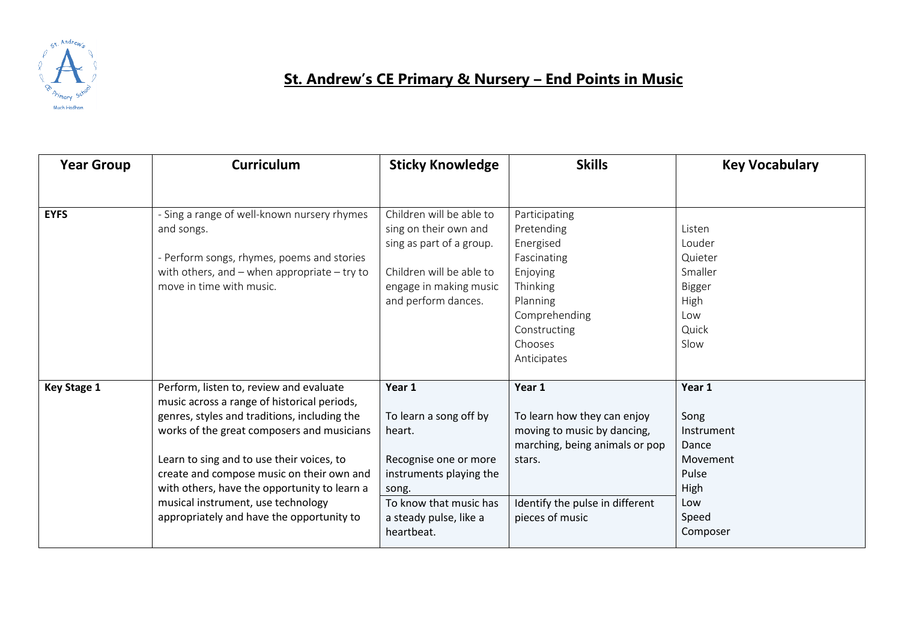

## **St. Andrew's CE Primary & Nursery – End Points in Music**

| <b>Year Group</b>  | <b>Curriculum</b>                                                                                                                                                                                                                                                                                                                                                                                                 | <b>Sticky Knowledge</b>                                                                                                                                                   | <b>Skills</b>                                                                                                                                                          | <b>Key Vocabulary</b>                                                                          |
|--------------------|-------------------------------------------------------------------------------------------------------------------------------------------------------------------------------------------------------------------------------------------------------------------------------------------------------------------------------------------------------------------------------------------------------------------|---------------------------------------------------------------------------------------------------------------------------------------------------------------------------|------------------------------------------------------------------------------------------------------------------------------------------------------------------------|------------------------------------------------------------------------------------------------|
|                    |                                                                                                                                                                                                                                                                                                                                                                                                                   |                                                                                                                                                                           |                                                                                                                                                                        |                                                                                                |
| <b>EYFS</b>        | - Sing a range of well-known nursery rhymes<br>and songs.<br>- Perform songs, rhymes, poems and stories<br>with others, and $-$ when appropriate $-$ try to<br>move in time with music.                                                                                                                                                                                                                           | Children will be able to<br>sing on their own and<br>sing as part of a group.<br>Children will be able to<br>engage in making music<br>and perform dances.                | Participating<br>Pretending<br>Energised<br>Fascinating<br>Enjoying<br>Thinking<br>Planning<br>Comprehending<br>Constructing<br>Chooses<br>Anticipates                 | Listen<br>Louder<br>Quieter<br>Smaller<br>Bigger<br>High<br>Low<br>Quick<br>Slow               |
| <b>Key Stage 1</b> | Perform, listen to, review and evaluate<br>music across a range of historical periods,<br>genres, styles and traditions, including the<br>works of the great composers and musicians<br>Learn to sing and to use their voices, to<br>create and compose music on their own and<br>with others, have the opportunity to learn a<br>musical instrument, use technology<br>appropriately and have the opportunity to | Year 1<br>To learn a song off by<br>heart.<br>Recognise one or more<br>instruments playing the<br>song.<br>To know that music has<br>a steady pulse, like a<br>heartbeat. | Year 1<br>To learn how they can enjoy<br>moving to music by dancing,<br>marching, being animals or pop<br>stars.<br>Identify the pulse in different<br>pieces of music | Year 1<br>Song<br>Instrument<br>Dance<br>Movement<br>Pulse<br>High<br>Low<br>Speed<br>Composer |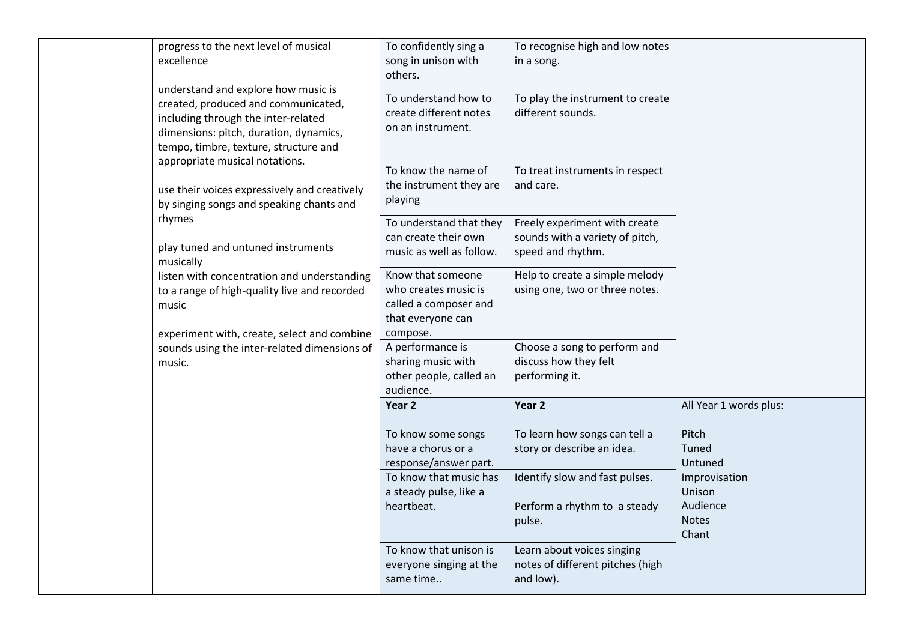| progress to the next level of musical<br>excellence                                                                                                                                                                                    | To confidently sing a<br>song in unison with<br>others.                                             | To recognise high and low notes<br>in a song.                                         |                                                              |
|----------------------------------------------------------------------------------------------------------------------------------------------------------------------------------------------------------------------------------------|-----------------------------------------------------------------------------------------------------|---------------------------------------------------------------------------------------|--------------------------------------------------------------|
| understand and explore how music is<br>created, produced and communicated,<br>including through the inter-related<br>dimensions: pitch, duration, dynamics,<br>tempo, timbre, texture, structure and<br>appropriate musical notations. | To understand how to<br>create different notes<br>on an instrument.                                 | To play the instrument to create<br>different sounds.                                 |                                                              |
| use their voices expressively and creatively<br>by singing songs and speaking chants and                                                                                                                                               | To know the name of<br>the instrument they are<br>playing                                           | To treat instruments in respect<br>and care.                                          |                                                              |
| rhymes<br>play tuned and untuned instruments<br>musically                                                                                                                                                                              | To understand that they<br>can create their own<br>music as well as follow.                         | Freely experiment with create<br>sounds with a variety of pitch,<br>speed and rhythm. |                                                              |
| listen with concentration and understanding<br>to a range of high-quality live and recorded<br>music<br>experiment with, create, select and combine                                                                                    | Know that someone<br>who creates music is<br>called a composer and<br>that everyone can<br>compose. | Help to create a simple melody<br>using one, two or three notes.                      |                                                              |
| sounds using the inter-related dimensions of<br>music.                                                                                                                                                                                 | A performance is<br>sharing music with<br>other people, called an<br>audience.                      | Choose a song to perform and<br>discuss how they felt<br>performing it.               |                                                              |
|                                                                                                                                                                                                                                        | Year 2                                                                                              | Year <sub>2</sub>                                                                     | All Year 1 words plus:                                       |
|                                                                                                                                                                                                                                        | To know some songs<br>have a chorus or a<br>response/answer part.                                   | To learn how songs can tell a<br>story or describe an idea.                           | Pitch<br>Tuned<br>Untuned                                    |
|                                                                                                                                                                                                                                        | To know that music has<br>a steady pulse, like a<br>heartbeat.                                      | Identify slow and fast pulses.<br>Perform a rhythm to a steady<br>pulse.              | Improvisation<br>Unison<br>Audience<br><b>Notes</b><br>Chant |
|                                                                                                                                                                                                                                        | To know that unison is<br>everyone singing at the<br>same time                                      | Learn about voices singing<br>notes of different pitches (high<br>and low).           |                                                              |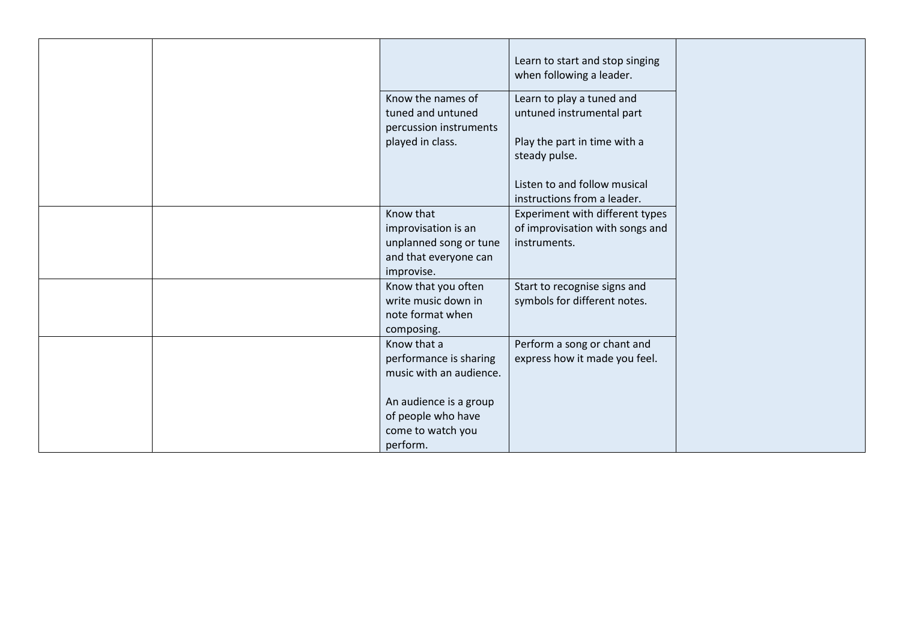|  |                                                                                            | Learn to start and stop singing<br>when following a leader.                        |
|--|--------------------------------------------------------------------------------------------|------------------------------------------------------------------------------------|
|  | Know the names of<br>tuned and untuned<br>percussion instruments                           | Learn to play a tuned and<br>untuned instrumental part                             |
|  | played in class.                                                                           | Play the part in time with a<br>steady pulse.                                      |
|  |                                                                                            | Listen to and follow musical<br>instructions from a leader.                        |
|  | Know that<br>improvisation is an<br>unplanned song or tune<br>and that everyone can        | Experiment with different types<br>of improvisation with songs and<br>instruments. |
|  | improvise.<br>Know that you often<br>write music down in<br>note format when<br>composing. | Start to recognise signs and<br>symbols for different notes.                       |
|  | Know that a<br>performance is sharing<br>music with an audience.                           | Perform a song or chant and<br>express how it made you feel.                       |
|  | An audience is a group<br>of people who have<br>come to watch you<br>perform.              |                                                                                    |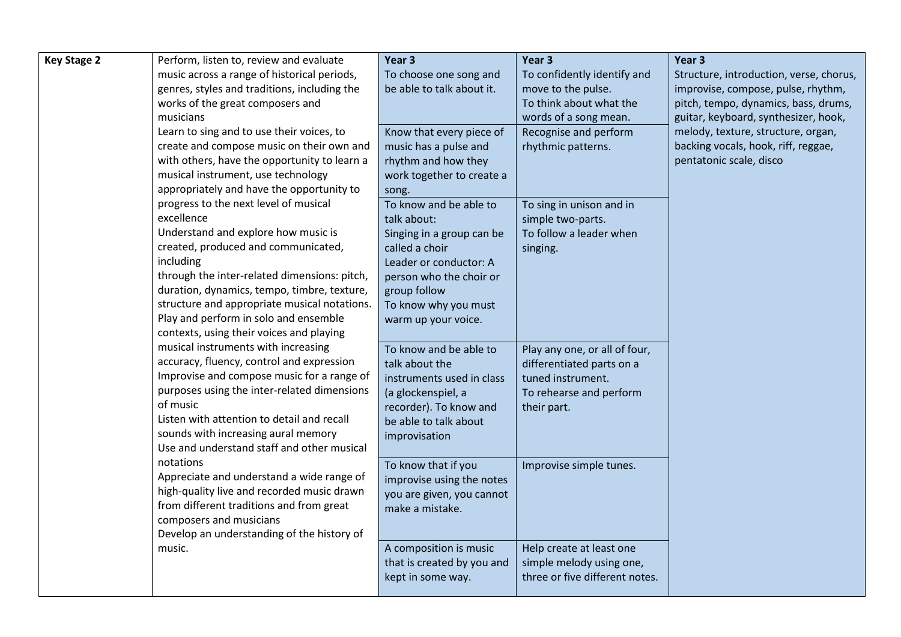| <b>Key Stage 2</b> | Perform, listen to, review and evaluate      | Year 3                     | Year 3                         | Year 3                                  |
|--------------------|----------------------------------------------|----------------------------|--------------------------------|-----------------------------------------|
|                    | music across a range of historical periods,  | To choose one song and     | To confidently identify and    | Structure, introduction, verse, chorus, |
|                    | genres, styles and traditions, including the | be able to talk about it.  | move to the pulse.             | improvise, compose, pulse, rhythm,      |
|                    | works of the great composers and             |                            | To think about what the        | pitch, tempo, dynamics, bass, drums,    |
|                    | musicians                                    |                            | words of a song mean.          | guitar, keyboard, synthesizer, hook,    |
|                    | Learn to sing and to use their voices, to    | Know that every piece of   | Recognise and perform          | melody, texture, structure, organ,      |
|                    | create and compose music on their own and    | music has a pulse and      | rhythmic patterns.             | backing vocals, hook, riff, reggae,     |
|                    | with others, have the opportunity to learn a | rhythm and how they        |                                | pentatonic scale, disco                 |
|                    | musical instrument, use technology           | work together to create a  |                                |                                         |
|                    | appropriately and have the opportunity to    | song.                      |                                |                                         |
|                    | progress to the next level of musical        | To know and be able to     | To sing in unison and in       |                                         |
|                    | excellence                                   | talk about:                | simple two-parts.              |                                         |
|                    | Understand and explore how music is          | Singing in a group can be  | To follow a leader when        |                                         |
|                    | created, produced and communicated,          | called a choir             | singing.                       |                                         |
|                    | including                                    | Leader or conductor: A     |                                |                                         |
|                    | through the inter-related dimensions: pitch, | person who the choir or    |                                |                                         |
|                    | duration, dynamics, tempo, timbre, texture,  | group follow               |                                |                                         |
|                    | structure and appropriate musical notations. | To know why you must       |                                |                                         |
|                    | Play and perform in solo and ensemble        | warm up your voice.        |                                |                                         |
|                    | contexts, using their voices and playing     |                            |                                |                                         |
|                    | musical instruments with increasing          | To know and be able to     | Play any one, or all of four,  |                                         |
|                    | accuracy, fluency, control and expression    | talk about the             | differentiated parts on a      |                                         |
|                    | Improvise and compose music for a range of   | instruments used in class  | tuned instrument.              |                                         |
|                    | purposes using the inter-related dimensions  | (a glockenspiel, a         | To rehearse and perform        |                                         |
|                    | of music                                     | recorder). To know and     | their part.                    |                                         |
|                    | Listen with attention to detail and recall   | be able to talk about      |                                |                                         |
|                    | sounds with increasing aural memory          | improvisation              |                                |                                         |
|                    | Use and understand staff and other musical   |                            |                                |                                         |
|                    | notations                                    | To know that if you        | Improvise simple tunes.        |                                         |
|                    | Appreciate and understand a wide range of    | improvise using the notes  |                                |                                         |
|                    | high-quality live and recorded music drawn   | you are given, you cannot  |                                |                                         |
|                    | from different traditions and from great     | make a mistake.            |                                |                                         |
|                    | composers and musicians                      |                            |                                |                                         |
|                    | Develop an understanding of the history of   |                            |                                |                                         |
|                    | music.                                       | A composition is music     | Help create at least one       |                                         |
|                    |                                              | that is created by you and | simple melody using one,       |                                         |
|                    |                                              | kept in some way.          | three or five different notes. |                                         |
|                    |                                              |                            |                                |                                         |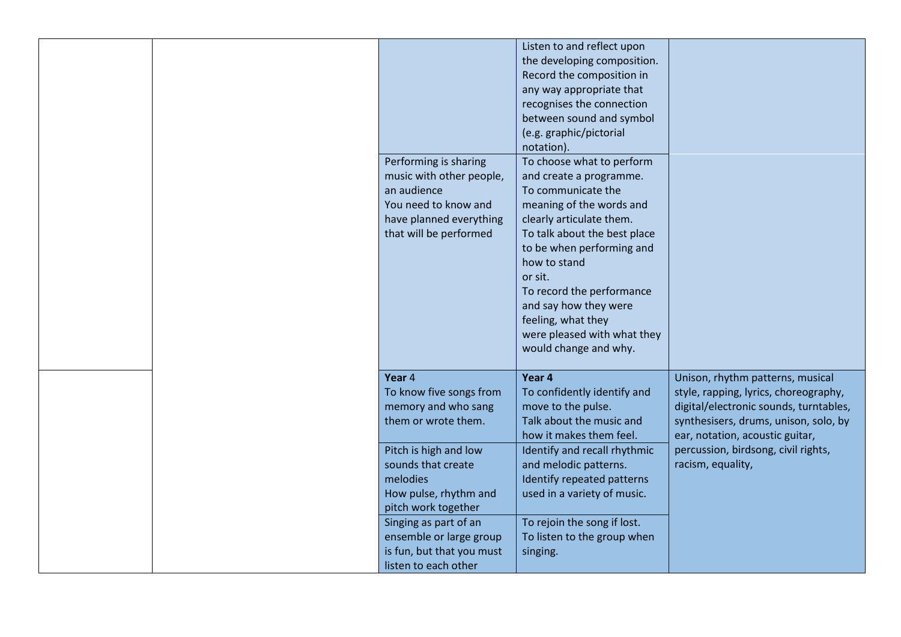|  | Performing is sharing<br>music with other people,<br>an audience<br>You need to know and<br>have planned everything<br>that will be performed                       | Listen to and reflect upon<br>the developing composition.<br>Record the composition in<br>any way appropriate that<br>recognises the connection<br>between sound and symbol<br>(e.g. graphic/pictorial<br>notation).<br>To choose what to perform<br>and create a programme.<br>To communicate the<br>meaning of the words and<br>clearly articulate them.<br>To talk about the best place<br>to be when performing and<br>how to stand<br>or sit.<br>To record the performance<br>and say how they were<br>feeling, what they<br>were pleased with what they<br>would change and why. |                                                                                                                                                                                                                                                             |
|--|---------------------------------------------------------------------------------------------------------------------------------------------------------------------|----------------------------------------------------------------------------------------------------------------------------------------------------------------------------------------------------------------------------------------------------------------------------------------------------------------------------------------------------------------------------------------------------------------------------------------------------------------------------------------------------------------------------------------------------------------------------------------|-------------------------------------------------------------------------------------------------------------------------------------------------------------------------------------------------------------------------------------------------------------|
|  | Year 4<br>To know five songs from<br>memory and who sang<br>them or wrote them.<br>Pitch is high and low<br>sounds that create<br>melodies<br>How pulse, rhythm and | Year 4<br>To confidently identify and<br>move to the pulse.<br>Talk about the music and<br>how it makes them feel.<br>Identify and recall rhythmic<br>and melodic patterns.<br>Identify repeated patterns<br>used in a variety of music.                                                                                                                                                                                                                                                                                                                                               | Unison, rhythm patterns, musical<br>style, rapping, lyrics, choreography,<br>digital/electronic sounds, turntables,<br>synthesisers, drums, unison, solo, by<br>ear, notation, acoustic guitar,<br>percussion, birdsong, civil rights,<br>racism, equality, |
|  | pitch work together<br>Singing as part of an<br>ensemble or large group<br>is fun, but that you must<br>listen to each other                                        | To rejoin the song if lost.<br>To listen to the group when<br>singing.                                                                                                                                                                                                                                                                                                                                                                                                                                                                                                                 |                                                                                                                                                                                                                                                             |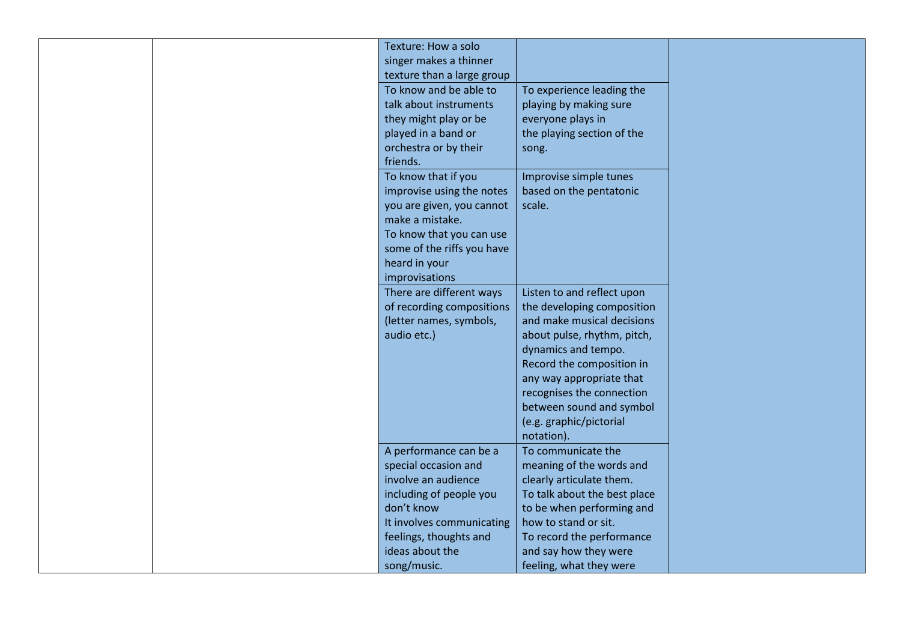|  | Texture: How a solo        |                              |
|--|----------------------------|------------------------------|
|  | singer makes a thinner     |                              |
|  | texture than a large group |                              |
|  | To know and be able to     | To experience leading the    |
|  | talk about instruments     | playing by making sure       |
|  | they might play or be      | everyone plays in            |
|  | played in a band or        | the playing section of the   |
|  | orchestra or by their      | song.                        |
|  | friends.                   |                              |
|  | To know that if you        | Improvise simple tunes       |
|  | improvise using the notes  | based on the pentatonic      |
|  | you are given, you cannot  | scale.                       |
|  | make a mistake.            |                              |
|  | To know that you can use   |                              |
|  | some of the riffs you have |                              |
|  | heard in your              |                              |
|  | improvisations             |                              |
|  | There are different ways   | Listen to and reflect upon   |
|  | of recording compositions  | the developing composition   |
|  | (letter names, symbols,    | and make musical decisions   |
|  | audio etc.)                | about pulse, rhythm, pitch,  |
|  |                            | dynamics and tempo.          |
|  |                            | Record the composition in    |
|  |                            | any way appropriate that     |
|  |                            | recognises the connection    |
|  |                            | between sound and symbol     |
|  |                            | (e.g. graphic/pictorial      |
|  |                            | notation).                   |
|  | A performance can be a     | To communicate the           |
|  | special occasion and       | meaning of the words and     |
|  | involve an audience        | clearly articulate them.     |
|  | including of people you    | To talk about the best place |
|  | don't know                 | to be when performing and    |
|  | It involves communicating  | how to stand or sit.         |
|  | feelings, thoughts and     | To record the performance    |
|  | ideas about the            | and say how they were        |
|  | song/music.                | feeling, what they were      |
|  |                            |                              |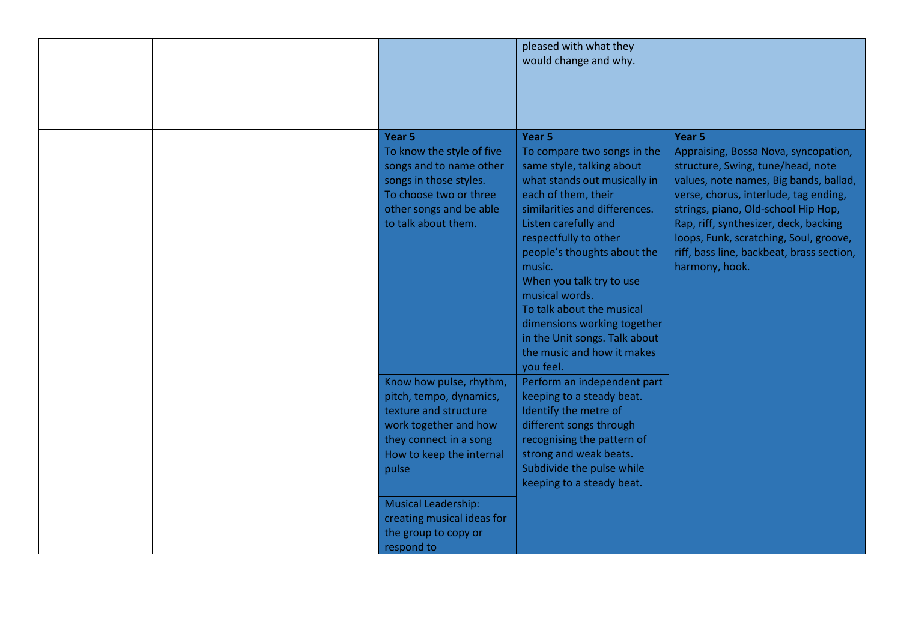|  |                                                                                                                                                                                                                                                         | pleased with what they<br>would change and why.                                                                                                                                                                                                                                                                                                                                                                                            |                                                                                                                                                                                                                                                                                                                                                                            |
|--|---------------------------------------------------------------------------------------------------------------------------------------------------------------------------------------------------------------------------------------------------------|--------------------------------------------------------------------------------------------------------------------------------------------------------------------------------------------------------------------------------------------------------------------------------------------------------------------------------------------------------------------------------------------------------------------------------------------|----------------------------------------------------------------------------------------------------------------------------------------------------------------------------------------------------------------------------------------------------------------------------------------------------------------------------------------------------------------------------|
|  | Year <sub>5</sub><br>To know the style of five<br>songs and to name other<br>songs in those styles.<br>To choose two or three<br>other songs and be able<br>to talk about them.                                                                         | Year 5<br>To compare two songs in the<br>same style, talking about<br>what stands out musically in<br>each of them, their<br>similarities and differences.<br>Listen carefully and<br>respectfully to other<br>people's thoughts about the<br>music.<br>When you talk try to use<br>musical words.<br>To talk about the musical<br>dimensions working together<br>in the Unit songs. Talk about<br>the music and how it makes<br>you feel. | Year <sub>5</sub><br>Appraising, Bossa Nova, syncopation,<br>structure, Swing, tune/head, note<br>values, note names, Big bands, ballad,<br>verse, chorus, interlude, tag ending,<br>strings, piano, Old-school Hip Hop,<br>Rap, riff, synthesizer, deck, backing<br>loops, Funk, scratching, Soul, groove,<br>riff, bass line, backbeat, brass section,<br>harmony, hook. |
|  | Know how pulse, rhythm,<br>pitch, tempo, dynamics,<br>texture and structure<br>work together and how<br>they connect in a song<br>How to keep the internal<br>pulse<br><b>Musical Leadership:</b><br>creating musical ideas for<br>the group to copy or | Perform an independent part<br>keeping to a steady beat.<br>Identify the metre of<br>different songs through<br>recognising the pattern of<br>strong and weak beats.<br>Subdivide the pulse while<br>keeping to a steady beat.                                                                                                                                                                                                             |                                                                                                                                                                                                                                                                                                                                                                            |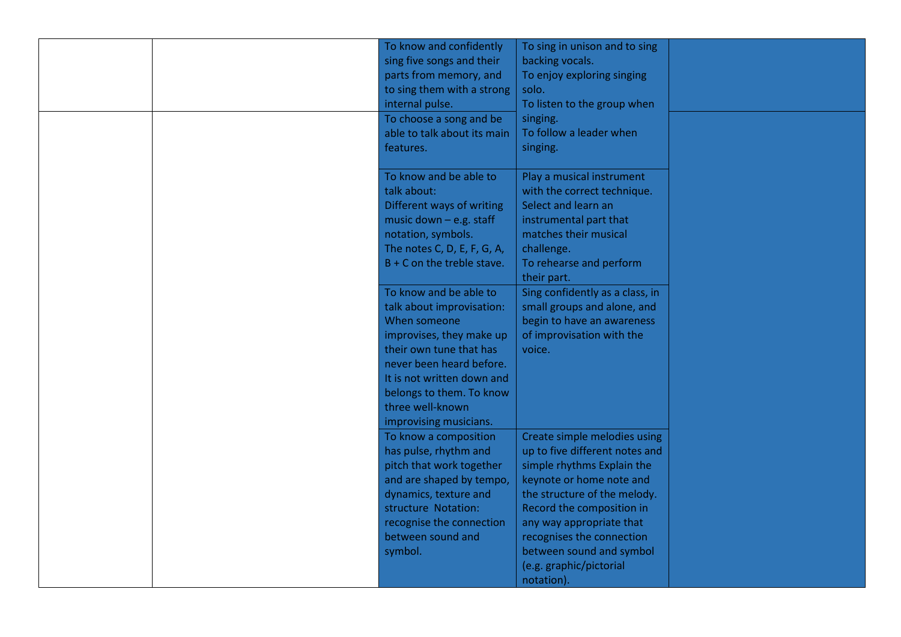|  | To know and confidently<br>sing five songs and their<br>parts from memory, and<br>to sing them with a strong<br>internal pulse.<br>To choose a song and be<br>able to talk about its main<br>features. | To sing in unison and to sing<br>backing vocals.<br>To enjoy exploring singing<br>solo.<br>To listen to the group when<br>singing.<br>To follow a leader when<br>singing.                                           |  |
|--|--------------------------------------------------------------------------------------------------------------------------------------------------------------------------------------------------------|---------------------------------------------------------------------------------------------------------------------------------------------------------------------------------------------------------------------|--|
|  | To know and be able to<br>talk about:<br>Different ways of writing<br>music down $-$ e.g. staff<br>notation, symbols.<br>The notes C, D, E, F, G, A,<br>$B + C$ on the treble stave.                   | Play a musical instrument<br>with the correct technique.<br>Select and learn an<br>instrumental part that<br>matches their musical<br>challenge.<br>To rehearse and perform                                         |  |
|  | To know and be able to<br>talk about improvisation:<br>When someone<br>improvises, they make up<br>their own tune that has<br>never been heard before.                                                 | their part.<br>Sing confidently as a class, in<br>small groups and alone, and<br>begin to have an awareness<br>of improvisation with the<br>voice.                                                                  |  |
|  | It is not written down and<br>belongs to them. To know<br>three well-known<br>improvising musicians.<br>To know a composition<br>has pulse, rhythm and<br>pitch that work together                     | Create simple melodies using<br>up to five different notes and<br>simple rhythms Explain the                                                                                                                        |  |
|  | and are shaped by tempo,<br>dynamics, texture and<br>structure Notation:<br>recognise the connection<br>between sound and<br>symbol.                                                                   | keynote or home note and<br>the structure of the melody.<br>Record the composition in<br>any way appropriate that<br>recognises the connection<br>between sound and symbol<br>(e.g. graphic/pictorial<br>notation). |  |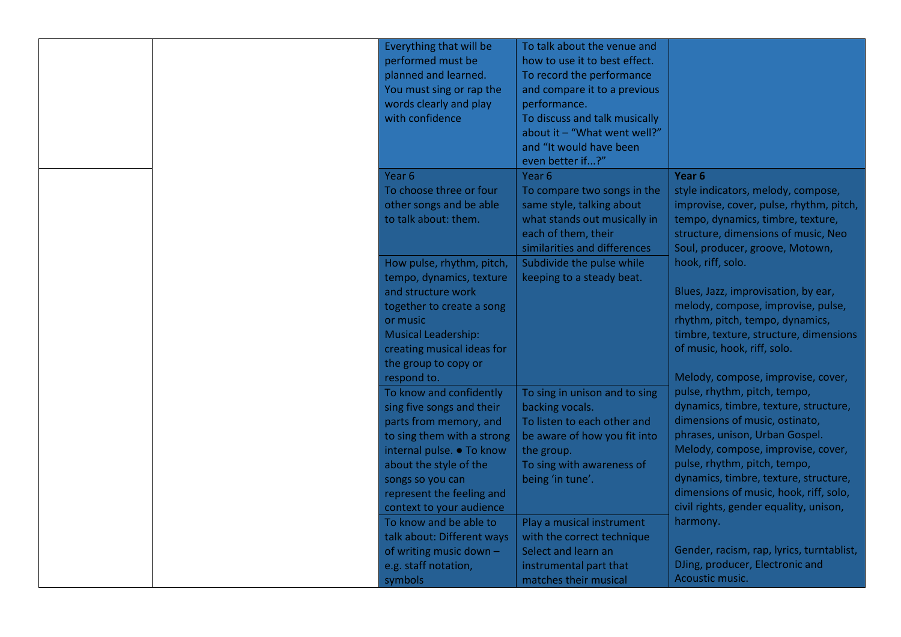|  | Everything that will be<br>performed must be<br>planned and learned.<br>You must sing or rap the<br>words clearly and play<br>with confidence                                                                                                    | To talk about the venue and<br>how to use it to best effect.<br>To record the performance<br>and compare it to a previous<br>performance.<br>To discuss and talk musically<br>about it $-$ "What went well?"<br>and "It would have been<br>even better if?" |                                                                                                                                                                                                                                                                                                                                              |
|--|--------------------------------------------------------------------------------------------------------------------------------------------------------------------------------------------------------------------------------------------------|-------------------------------------------------------------------------------------------------------------------------------------------------------------------------------------------------------------------------------------------------------------|----------------------------------------------------------------------------------------------------------------------------------------------------------------------------------------------------------------------------------------------------------------------------------------------------------------------------------------------|
|  | Year <sub>6</sub><br>To choose three or four<br>other songs and be able<br>to talk about: them.                                                                                                                                                  | Year <sub>6</sub><br>To compare two songs in the<br>same style, talking about<br>what stands out musically in<br>each of them, their<br>similarities and differences                                                                                        | Year <sub>6</sub><br>style indicators, melody, compose,<br>improvise, cover, pulse, rhythm, pitch,<br>tempo, dynamics, timbre, texture,<br>structure, dimensions of music, Neo<br>Soul, producer, groove, Motown,                                                                                                                            |
|  | How pulse, rhythm, pitch,<br>tempo, dynamics, texture<br>and structure work<br>together to create a song<br>or music<br><b>Musical Leadership:</b><br>creating musical ideas for<br>the group to copy or<br>respond to.                          | Subdivide the pulse while<br>keeping to a steady beat.                                                                                                                                                                                                      | hook, riff, solo.<br>Blues, Jazz, improvisation, by ear,<br>melody, compose, improvise, pulse,<br>rhythm, pitch, tempo, dynamics,<br>timbre, texture, structure, dimensions<br>of music, hook, riff, solo.<br>Melody, compose, improvise, cover,                                                                                             |
|  | To know and confidently<br>sing five songs and their<br>parts from memory, and<br>to sing them with a strong<br>internal pulse. • To know<br>about the style of the<br>songs so you can<br>represent the feeling and<br>context to your audience | To sing in unison and to sing<br>backing vocals.<br>To listen to each other and<br>be aware of how you fit into<br>the group.<br>To sing with awareness of<br>being 'in tune'.                                                                              | pulse, rhythm, pitch, tempo,<br>dynamics, timbre, texture, structure,<br>dimensions of music, ostinato,<br>phrases, unison, Urban Gospel.<br>Melody, compose, improvise, cover,<br>pulse, rhythm, pitch, tempo,<br>dynamics, timbre, texture, structure,<br>dimensions of music, hook, riff, solo,<br>civil rights, gender equality, unison, |
|  | To know and be able to<br>talk about: Different ways<br>of writing music down -<br>e.g. staff notation,<br>symbols                                                                                                                               | Play a musical instrument<br>with the correct technique<br>Select and learn an<br>instrumental part that<br>matches their musical                                                                                                                           | harmony.<br>Gender, racism, rap, lyrics, turntablist,<br>DJing, producer, Electronic and<br>Acoustic music.                                                                                                                                                                                                                                  |